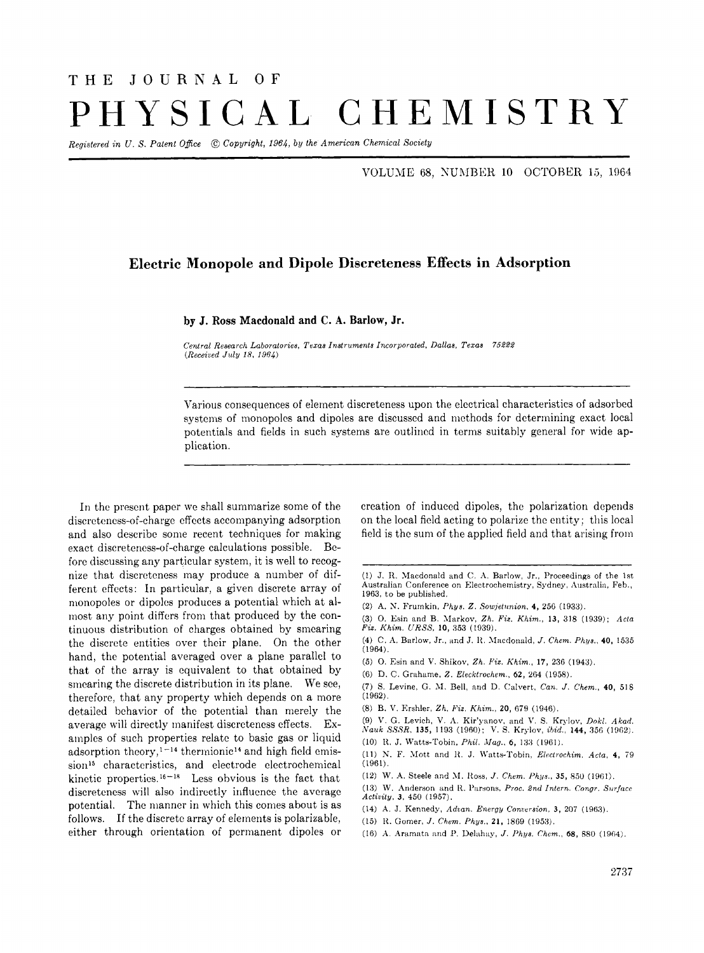## THE JOURNAL OF PHYSICAL CHEMISTRY

*Registered in U. S. Patent Ofice* @ *Copyright, 1964,* by *the American Chemical Society* 

VOLUME 68, NUMBER 10 OCTOBER 15, 1964

## **Electric Monopole and Dipole Discreteness Effects in Adsorption**

**by J. Ross Macdonald and C. A. Barlow, Jr.** 

*Ceniral Research Laboratorieu, Texas Instruments Incorporated. Dallas, Texas 75222 (Receiaed Jz& 18, 1964)* 

Various consequences of element discreteness upon the electrical characteristics of adsorbed systems of monopoles and dipoles are discussed and methods for determining exact local potentials and fields in such systems are outliricd in terms suitably general for wide application.

In the present paper we shall summarize some of the discreteness-of-charge effects accompanying adsorption and also describe some recent techniques for making exact discreteness-of-charge calculations possible. Before discussing any particular system, it is well to recognize that discreteness may produce a number of different effects: In particular, a given discrete array of monopoles or dipoles produces a potential which at almost any point differs from that produced by the continuous distribution of charges obtained by smearing the discrete entities over their plane. On the other hand, the potential averaged over a plane parallel to that of the array is equivalent to that obtained by smearing the discrete distribution in its plane. We see, therefore, that any property which depends on a more detailed behavior of the potential than merely the average will directly manifest discreteness effects. Examples of such properties relate to basic gas or liquid adsorption theory,<sup>1-14</sup> thermionic<sup>14</sup> and high field emission<sup>15</sup> characteristics, and electrode electrochemical kinetic properties.<sup>16-18</sup> Less obvious is the fact that discreteness will also indirectly influence the avcragc potential. The manner in which this comes about is as follows. If the discrete array of elements is polarizable, either through orientation of permanent dipoles or crcation of induced dipoles, the polarization depends on the local ficld acting to polarize the entity; this local field is the sum of the applied field and that arising from

- (1) J. R. Macdonald and C. A. Barlow, Jr., Proceedings of the 1st Australian Conference on Electrochemistry, Sydney, Australia, Feb., **1963,** to be published.
- **(2) A.** N. Frurnkin, *Phys. 2. Sowjetnnion,* **4, 256** (1933).
- **(3) 0.** Esin and B. Mnrkov, *Zh. Pi2. Khim.,* **13, 318 (1939);** *Acta Fit. Khim. URSS,* **10, 353** (1939).
- (4) C. A. Barlow, Jr., and J. R. Macdonald, *J. Chem. Phys.*, **40,** 1535 **(1964).**
- **(5) 0.** Esin and V. Shikov, *Zh. Fit. Khim.,* **17, 236** (1943).
- (6) D. *(2.* Grahame, *Z. Elecktrochem.,* **62, 204 (1958).**
- **(7)** S. Levine, G. SI. Bell, arid D. Calvert, *Can. J. Chem.,* **40, 518**  (1962).
- (8) B. V. Rrshler, *Zh. Fir. Khim.,* **20, 079 (1946).**
- (9) V. G. Levich, V. **A.** Kir'yiinov, arid V. S. Krylov, *Dokl. Akad. Nauk SSSR*, 135, 1193 (1960); V. S. Krylov, *ibid.*, 144, 356 (1962). (10) It. J. Watts-'robin, *Phil. Mag..* **6,** 133 (1961).
- 
- (11) N. F. Mott and I<. J. M'atts-'robin, *Bleclrochim. Acta,* **4,** 79 (1961).
- **(12)** W. A. Steele and M. Ross, *J. Chem. Phys.*, **35,** 850 (1961).
- (13) W. Anderson and R. Parsons, *Proc. 2nd Intern. Congr. Surface Activity.* **3. 450 (1957).**
- **(14) A.** ,J. Kennedy, *Adaan. Energy Conwrsion,* **3, 207 (19B.7).**
- **(15)** It. Gomer, *.1. Chem. Phys.,* **21, 1869 (1953).**
- **(16)** A. Aramata and **P. Delahay**, *J. Phys. Chem.*, **68,** 880 **(1964)**.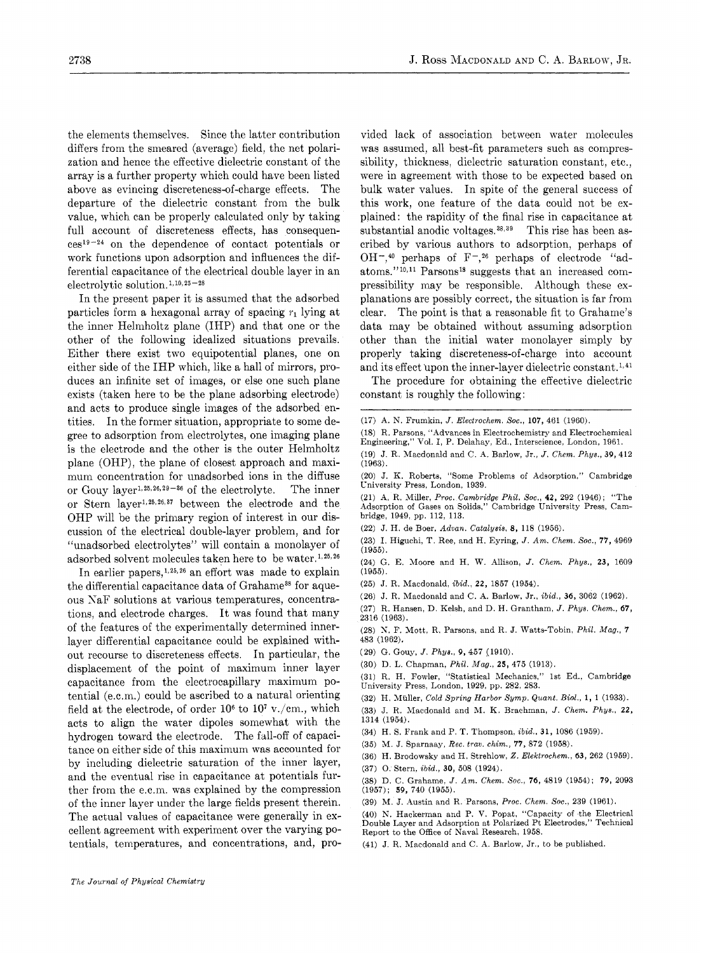the elements themselves. Since the latter contribution differs from the smeared (average) field, the net polarization and hence the effective dielectric constant of the array is a further property which could have been listed above as evincing discreteness-of-charge effects. The departure of the dielectric constant from the bulk value, which can be properly calculated only by taking full account of discreteness effects, has consequen $ces^{19-24}$  on the dependence of contact potentials or work functions upon adsorption and influences the differential capacitance of the electrical double layer in an electrolytic solution.<sup>1, 10, 25 - 28</sup>

In the present paper it is assumed that the adsorbed particles form a hexagonal array of spacing  $r_1$  lying at the inner Helmholtz plane (IHP) and that one or the other of the following idealized situations prevails. Either there exist two equipotential planes, one on either side of the IHP which, like a hall of mirrors, produces an infinite set of images, or else one such plane exists (taken here to be the plane adsorbing electrode) and acts to produce single images of the adsorbed entities. In the former situation, appropriate to some degree to adsorption from electrolytes, one imaging plane is the electrode and the other is the outer Helmholtz plane (OHP), the plane of closest approach and maximum concentration for unadsorbed ions in the diffuse or Gouy layer<sup>1, 25, 26, 29-36</sup> of the electrolyte. The inner or Stern layer<sup>1,25,26,37</sup> between the electrode and the OHP will be the primary region of interest in our discussion of the electrical double-layer problem, and for "unadsorbed electrolytes" will contain a monolayer of adsorbed solvent molecules taken here to be water. **1,26,26** 

In earlier papers,<sup>1,25,26</sup> an effort was made to explain the differential capacitance data of Grahame<sup>38</sup> for aqueous YaF solutions at various temperatures, concentrations, and electrode charges, It was found that many of the features of the experimentally determined innerlayer differential capacitance could be explained without recourse to discreteness effects. In particular, the displacement of the point of maximum inner layer capacitance from the electrocapillary maximum potential (e.c.m.) could be ascribed to a natural orienting field at the electrode, of order  $10^6$  to  $10^7$  v./cm., which acts to align the water dipoles somewhat with the hydrogen toward the electrode. The fall-off of capacitance on either side of this maximum was accounted for by including dielectric saturation of the inner layer, and the eventual rise in capacitance at potentials further from the e.c.m. was explained by the compression of the inner layer under the large fields present therein. The actual values of capacitance were generally in excellent agreement with experiment over the varying potentials, temperatures, and concentrations, and, provided lack of association between water molecules was assumed, all best-fit parameters such as compressibility, thickness, dielectric saturation constant, etc., were in agreement with those to be expected based on bulk water values. In spite of the general success of this work, one feature of the data could not be explained: the rapidity of the final rise in capacitance at substantial anodic voltages.<sup>38,39</sup> This rise has been ascribed by various authors to adsorption, perhaps of  $OH^{-1}$ ,<sup>40</sup> perhaps of  $F^{-1}$ ,<sup>26</sup> perhaps of electrode "adatoms."<sup>10,11</sup> Parsons<sup>18</sup> suggests that an increased compressibility may be responsible. Although these explanations are possibly correct, the situation is far from clear. The point is that a reasonable fit to Grahame's data may be obtained without assuming adsorption other than the initial water monolayer simply by properly taking discreteness-of-charge into account and its effect upon the inner-layer dielectric constant. **1'41** 

The procedure for obtaining the effective dielectric constant is roughly the following:

- **(17)** A. N. Frumkin, *J. Electrochem. Soc.,* **107, 461 (1960).**
- **(18)** R. Parsons, "Advances in Electrochemistry and Electrochemical Engineering," Val. I, P. Delahay, Ed.. Interscience, London, **1961.**
- **(19)** J. R. Macdonald and C. A. Barlow, Jr., *J. Chem. Phys.,* **39,412 (1963).**
- **(20)** J. K. Roberts, "Some Problems of Adsorption," Cambridge University Press, London, **1939.**
- **(21) A.** R. Miller, *Proc. Cambridge Phil. SOC.,* **42, 292 (1946);** "The Adsorption of Gases on Solids," Cambridge University Press, Cambridge, **1949,** pp. **112, 113.**
- **(22)** J. H. de Boer, *Advan. Catalysis,* **8, 118 (1956).**
- **(23) I.** Higuchi, **T.** Ree, and H. Eyring, *J. Am. Chem. Soc.,* **77, 4969 (1955).**

**(24)** G. E. Moore and H. W. Allison, *J. Chem. Phys.,* **23, 1609 (1955).** 

- **(25)** J. R. Macdonald, *ibid.,* **22, 1857 (1954).**
- **(26)** J. R. Macdonald and C. A. Barlow, Jr., *ibid.,* **36, 3062 (1962).**
- **(27)** R. Hansen, D. Kelsh, and D. H. Grantham, *J. Phys. Chem.,* **67, 2316 (1963).**
- **(28) X.** F. Mott, R. Parsons, and R. J. Watts-Tobin, *Phil. Mag.,* **7 483 (1962).**
- **(29)** G. Gouy, *J. Phys.,* **9, 457 (1910).**
- **(30)** D. L. Chapman, *Phil. Mag.,* **25, 475 (1913).**
- **(31)** R. H. Fowler, "Statistical Mechanics," 1st Ed., Cambridge University Press, London, **1929,** pp. **282, 283.**
- **(32)** H. Muller, *Cold Spring Harbor Symp. Quant. Bid,* **1, 1 (1933).**
- **(33)** J. R. Macdonald and M. K. Brachman, *J. Chem. Phys.,* **22, 1314 (1954).**
- **(34)** H. S. Frank and P. T. Thompson, *ibid.,* **31, 1086 (1959).**
- **(35)** M. J. Sparnaay, *Rec. trau. chim.,* **77, 872 (1958).**
- **(36)** H. Brodowsky and H. Strehlow, 2. *Elektrochem.,* **63, 262 (1959).**
- **(37)** 0. Stern, *ibid.,* **30, 508 (1924).**

**(38)** D. C. Grahame, *J. Am. Chem.* **SOC., 76, 4819 (1954); 79, 2093 (1957); 59, 740 (1955).** 

**(39) M.** J. Austin and R. Parsons, *Proc. Chem.* Soc., **239 (1961).** 

**(40)** N. Hackerman and P. V. Popat, "Capacity of .the Electrical Double Layer and Adsorption at Polarized Pt Electrodes," Technical Report to the Office of Naval Research, **1958.** 

**(41)** J. R. Macdonald and C. A. Barlow, Jr., to be published.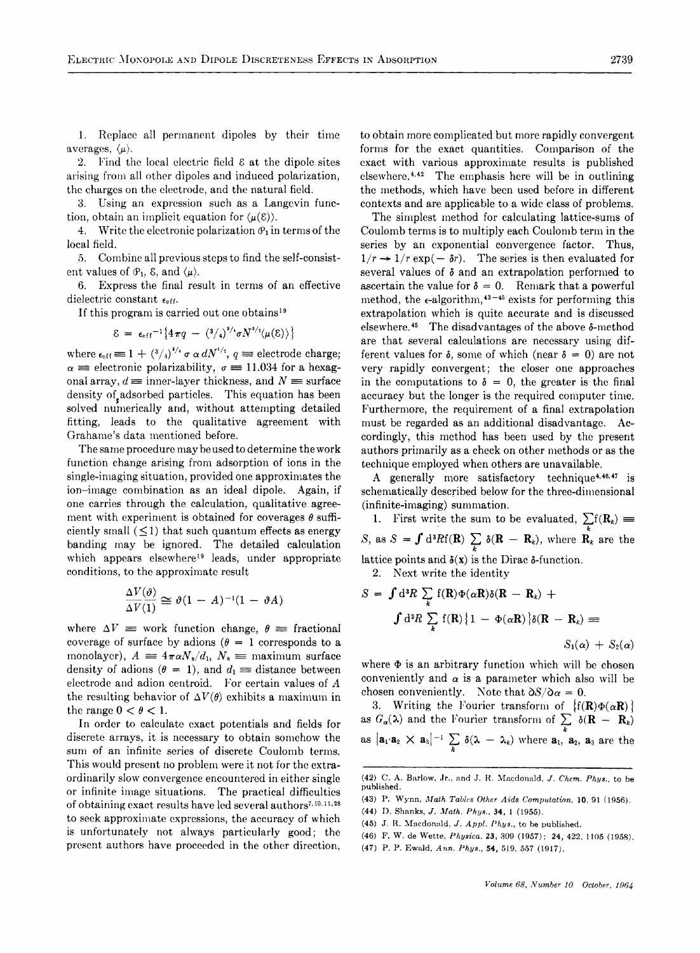1. Replace all permanent dipoles by their time averages,  $\langle \mu \rangle$ .

2. Find the local electric field  $\epsilon$  at the dipole sites arising froni all other dipoles and induced polarization, the charges on the electrode, and the natural field.

*3.* Using an expression such as a Langevin function, obtain an implicit equation for  $\langle \mu(\varepsilon) \rangle$ .

4. Write the electronic polarization  $\mathcal{P}_1$  in terms of the local field.

*5.* Combine all previous steps to find the self-consistent values of  $\mathcal{P}_1$ ,  $\mathcal{E}$ , and  $\langle \mu \rangle$ .

6. Express the final result in terms of an effective dielectric constant  $\epsilon_{eff}$ .

If this program is carried out one obtains<sup>19</sup>  

$$
\mathcal{E} = \epsilon_{eff}^{-1} \{ 4\pi q - (3/4)^{3/4} \sigma N^{3/4} \langle \mu(\mathcal{E}) \rangle \}
$$

where  $\epsilon_{\text{eff}} \equiv 1 + \left(\frac{3}{4}\right)^{1/4} \sigma \alpha dN^{1/2}, q \equiv$  electrode charge;  $\alpha \equiv$  electronic polarizability,  $\sigma \equiv 11.034$  for a hexagonal array,  $d \equiv$  inner-layer thickness, and  $N \equiv$  surface density of adsorbed particles. This equation has been solved numerically and, without attempting detailed fitting, leads to the qualitative agreement with Grahame's data mentioned before.

The same procedure may be used to determine the work function change arising from adsorption of ions in the single-imaging situation, provided one approximates the ion--image combination as an ideal dipole. Again, if one carries through the calculation, qualitative agreement with experiment is obtained for coverages  $\theta$  sufficiently small  $(< 1$ ) that such quantum effects as energy banding may be ignored. The detailed calculation which appears elsewhere<sup>19</sup> leads, under appropriate

conditions, to the approximate result  
\n
$$
\frac{\Delta V(\vartheta)}{\Delta V(1)} \cong \vartheta (1 - A)^{-1} (1 - \vartheta A)
$$

where  $\Delta V \equiv$  work function change,  $\theta \equiv$  fractional coverage of surface by adions  $(\theta = 1$  corresponds to a monolayer),  $A = 4\pi \alpha N_s/d_1$ ,  $N_s =$  maximum surface density of adions ( $\theta = 1$ ), and  $d_1 \equiv$  distance between electrode and adion centroid. For certain values of A the resulting behavior of  $\Delta V(\theta)$  exhibits a maximum in the range  $0 < \theta < 1$ .

In order to calculate cxact potentials and fields for discrete arrays, it is necessary to obtain somehow the sum of an infinite series of discrete Coulomb terms. This would present no probleni were it not **for** the extraordinarily slow convergence encountered in either single or infinite image situations. The practical difficulties of obtaining exact results have led several authors<sup>7, 10, 11, 28</sup> to seek approximate expressions, the accuracy of which is unfortunately not always particularly good; the present authors have proceeded in the other direction,

to obtain more complicated but more rapidly convergent forms for the exact quantities. Comparison of the exact with various approximate results is published elsewhere.<sup>4,42</sup> The emphasis here will be in outlining the methods, which have been used before in different contexts and are applicable to a wide class of problems.

The simplest method for calculating lattice-sums of Coulomb terms is to multiply each Coulomb term in the series by an exponential convergence factor. Thus,  $1/r \rightarrow 1/r \exp(-\delta r)$ . The series is then evaluated for several values of  $\delta$  and an extrapolation performed to ascertain the value for  $\delta = 0$ . Remark that a powerful method, the  $\epsilon$ -algorithm,<sup>43-45</sup> exists for performing this extrapolation which is quite accurate and is discussed elsewhere.<sup>45</sup> The disadvantages of the above  $\delta$ -method are that several calculations are necessary using different values for  $\delta$ , some of which (near  $\delta = 0$ ) are not very rapidly convergent; the closer one approaches in the computations to  $\delta = 0$ , the greater is the final accuracy but the longer is the required computer time. Furthermore, the requirement of a final extrapolation must be regarded as an additional disadvantage. Accordingly, this method has been used by the present authors primarily as a check on other methods or as the technique employed when others are unavailable.

A generally more satisfactory technique<sup>4,46,47</sup> is schematically described below for the three-dimensional (infinite-imaging) summation.

inhite-imaging) summation.<br>1. First write the sum to be evaluated,  $\sum f(R_k) \equiv$ S, as  $S = \int d^3R f(R) \sum_k \delta(R - R_k)$ , where  $R_k$  are the lattice points and  $\delta(x)$  is the Dirac  $\delta$ -function. *k*  **2.** Next write the identity

$$
S = \int d^3R \sum_k f(\mathbf{R}) \Phi(\alpha \mathbf{R}) \delta(\mathbf{R} - \mathbf{R}_k) +
$$
  

$$
\int d^3R \sum_k f(\mathbf{R}) \{1 - \Phi(\alpha \mathbf{R})\} \delta(\mathbf{R} - \mathbf{R}_k) =
$$
  

$$
S_1(\alpha) + S_2(\alpha)
$$

where  $\Phi$  is an arbitrary function which will be chosen conveniently and  $\alpha$  is a parameter which also will be chosen conveniently. Note that  $\partial S/\partial \alpha = 0$ .

3. Writing the Fourier transform of  $\{f(\mathbf{R})\Phi(\alpha \mathbf{R})\}$  as  $G_{\alpha}(\lambda)$  and the Fourier transform of  $\sum \delta(\mathbf{R} - \mathbf{R}_k)$ as  $|\mathbf{a}_1 \cdot \mathbf{a}_2 \times \mathbf{a}_3|^{-1} \sum_k \delta(\lambda - \lambda_k)$  where  $\mathbf{a}_1$ ,  $\mathbf{a}_2$ ,  $\mathbf{a}_3$  are the *k* 

- **(46)** F. **W. de Wette,** *Physica,* **23, 309 (1957); 24, 422. 1105 (1958).**
- (47) P. P. Ewald, *Ann. Phys.*, 54, 519, 557 (1917).

**<sup>(42)</sup>** C. A. Barlow, Jr., and J. R. Macdonald, *J. Chem. Phys.*, to be **published.** 

**<sup>(43)</sup> 1'. Wynn.** *Math Tablm Other Aids Computation,* **10, 91 (1956).** 

**<sup>(44)</sup> 1). Shanks,** *J. Math. PhUs.,* **34, 1 (1955).** 

**<sup>(45)</sup> J.** It. **Macdonald,** *J. Appl. I'hys..* to be **published.**